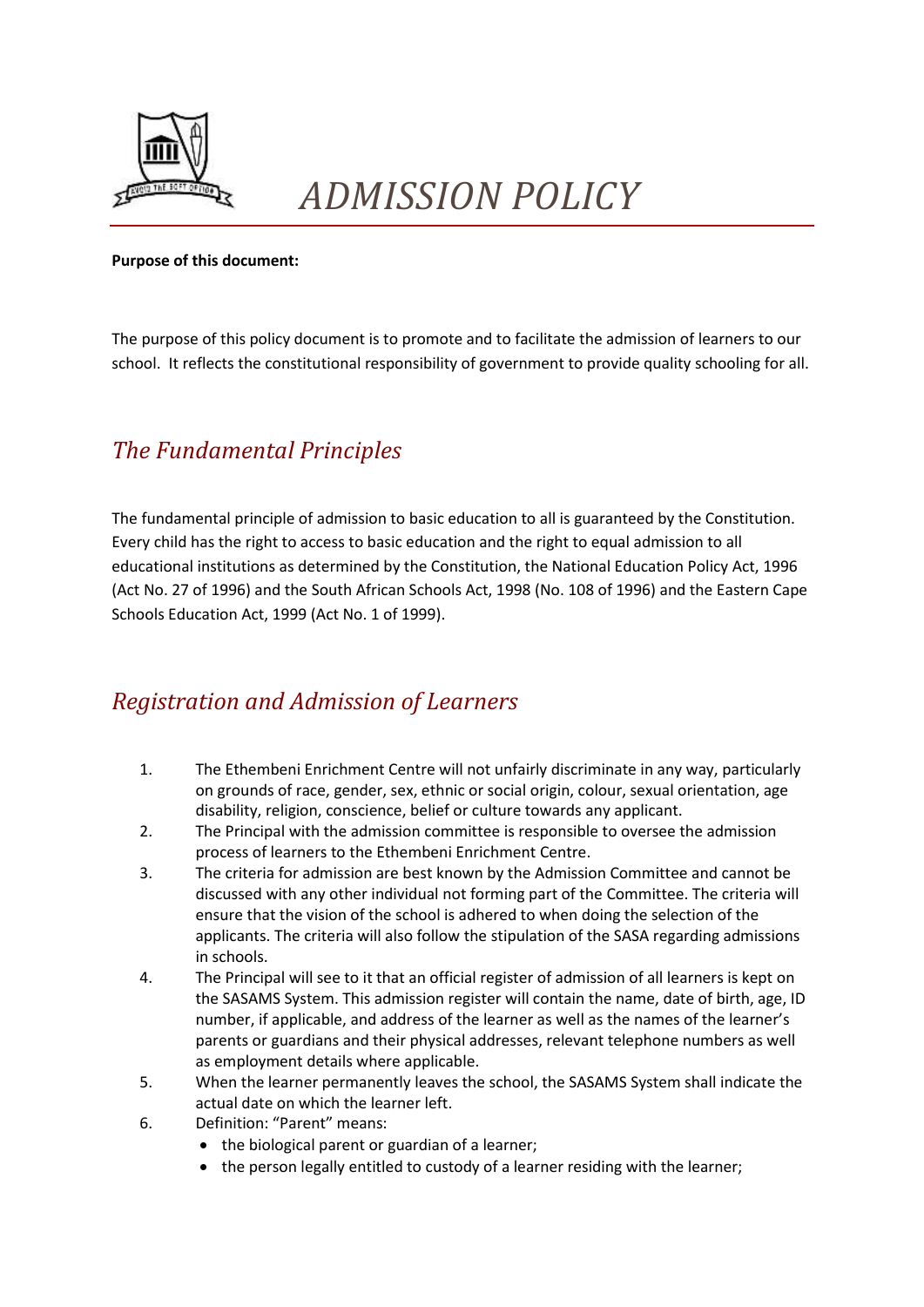

## *ADMISSION POLICY*

## **Purpose of this document:**

The purpose of this policy document is to promote and to facilitate the admission of learners to our school. It reflects the constitutional responsibility of government to provide quality schooling for all.

## *The Fundamental Principles*

The fundamental principle of admission to basic education to all is guaranteed by the Constitution. Every child has the right to access to basic education and the right to equal admission to all educational institutions as determined by the Constitution, the National Education Policy Act, 1996 (Act No. 27 of 1996) and the South African Schools Act, 1998 (No. 108 of 1996) and the Eastern Cape Schools Education Act, 1999 (Act No. 1 of 1999).

## *Registration and Admission of Learners*

- 1. The Ethembeni Enrichment Centre will not unfairly discriminate in any way, particularly on grounds of race, gender, sex, ethnic or social origin, colour, sexual orientation, age disability, religion, conscience, belief or culture towards any applicant.
- 2. The Principal with the admission committee is responsible to oversee the admission process of learners to the Ethembeni Enrichment Centre.
- 3. The criteria for admission are best known by the Admission Committee and cannot be discussed with any other individual not forming part of the Committee. The criteria will ensure that the vision of the school is adhered to when doing the selection of the applicants. The criteria will also follow the stipulation of the SASA regarding admissions in schools.
- 4. The Principal will see to it that an official register of admission of all learners is kept on the SASAMS System. This admission register will contain the name, date of birth, age, ID number, if applicable, and address of the learner as well as the names of the learner's parents or guardians and their physical addresses, relevant telephone numbers as well as employment details where applicable.
- 5. When the learner permanently leaves the school, the SASAMS System shall indicate the actual date on which the learner left.
- 6. Definition: "Parent" means:
	- the biological parent or guardian of a learner;
	- the person legally entitled to custody of a learner residing with the learner;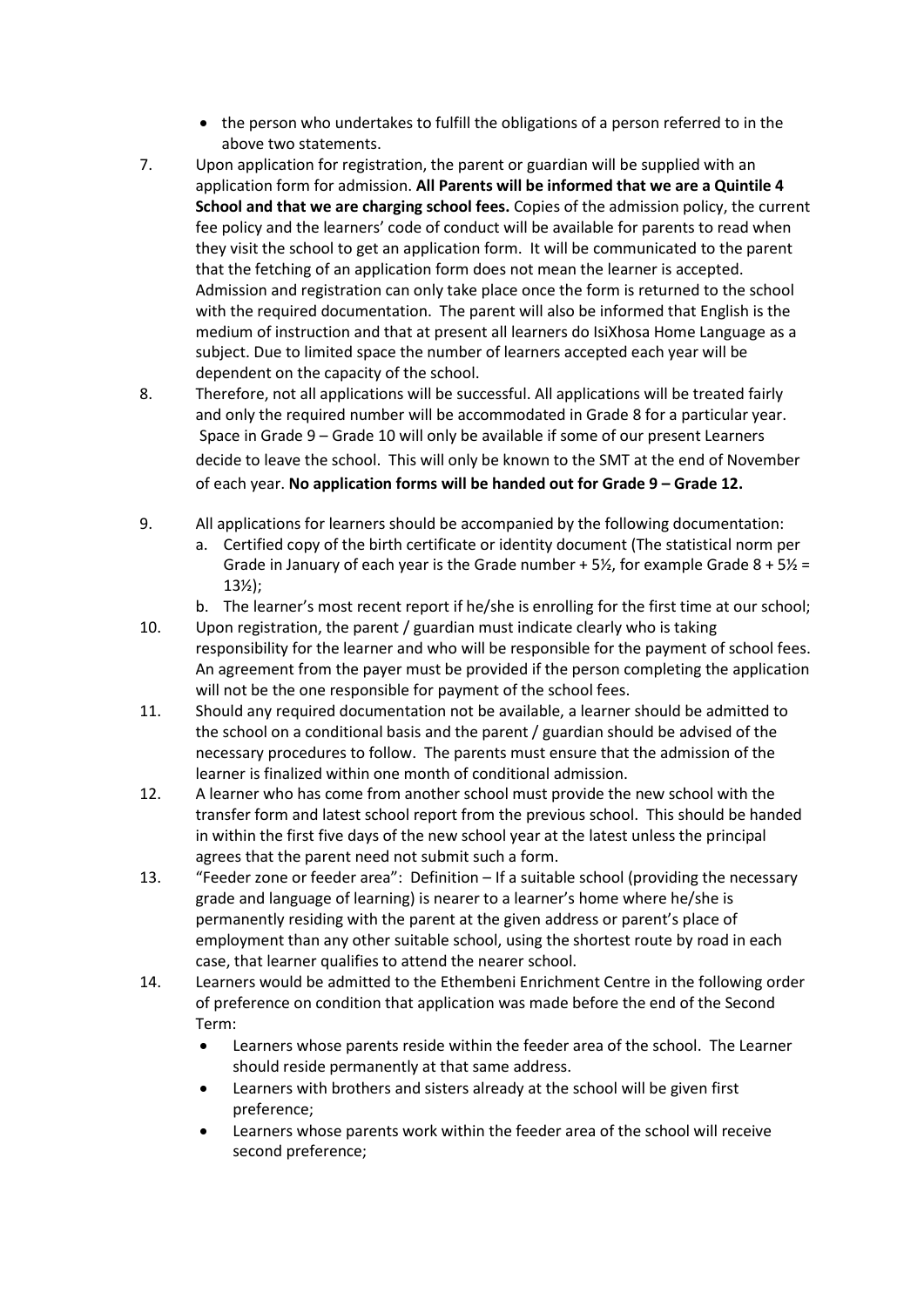- the person who undertakes to fulfill the obligations of a person referred to in the above two statements.
- 7. Upon application for registration, the parent or guardian will be supplied with an application form for admission. **All Parents will be informed that we are a Quintile 4 School and that we are charging school fees.** Copies of the admission policy, the current fee policy and the learners' code of conduct will be available for parents to read when they visit the school to get an application form. It will be communicated to the parent that the fetching of an application form does not mean the learner is accepted. Admission and registration can only take place once the form is returned to the school with the required documentation. The parent will also be informed that English is the medium of instruction and that at present all learners do IsiXhosa Home Language as a subject. Due to limited space the number of learners accepted each year will be dependent on the capacity of the school.
- 8. Therefore, not all applications will be successful. All applications will be treated fairly and only the required number will be accommodated in Grade 8 for a particular year. Space in Grade 9 – Grade 10 will only be available if some of our present Learners decide to leave the school. This will only be known to the SMT at the end of November of each year. **No application forms will be handed out for Grade 9 – Grade 12.**
- 9. All applications for learners should be accompanied by the following documentation:
	- a. Certified copy of the birth certificate or identity document (The statistical norm per Grade in January of each year is the Grade number  $+5\frac{1}{2}$ , for example Grade  $8 + 5\frac{1}{2} =$ 13½);
	- b. The learner's most recent report if he/she is enrolling for the first time at our school;
- 10. Upon registration, the parent / guardian must indicate clearly who is taking responsibility for the learner and who will be responsible for the payment of school fees. An agreement from the payer must be provided if the person completing the application will not be the one responsible for payment of the school fees.
- 11. Should any required documentation not be available, a learner should be admitted to the school on a conditional basis and the parent / guardian should be advised of the necessary procedures to follow. The parents must ensure that the admission of the learner is finalized within one month of conditional admission.
- 12. A learner who has come from another school must provide the new school with the transfer form and latest school report from the previous school. This should be handed in within the first five days of the new school year at the latest unless the principal agrees that the parent need not submit such a form.
- 13. "Feeder zone or feeder area": Definition If a suitable school (providing the necessary grade and language of learning) is nearer to a learner's home where he/she is permanently residing with the parent at the given address or parent's place of employment than any other suitable school, using the shortest route by road in each case, that learner qualifies to attend the nearer school.
- 14. Learners would be admitted to the Ethembeni Enrichment Centre in the following order of preference on condition that application was made before the end of the Second Term:
	- Learners whose parents reside within the feeder area of the school. The Learner should reside permanently at that same address.
	- Learners with brothers and sisters already at the school will be given first preference;
	- Learners whose parents work within the feeder area of the school will receive second preference;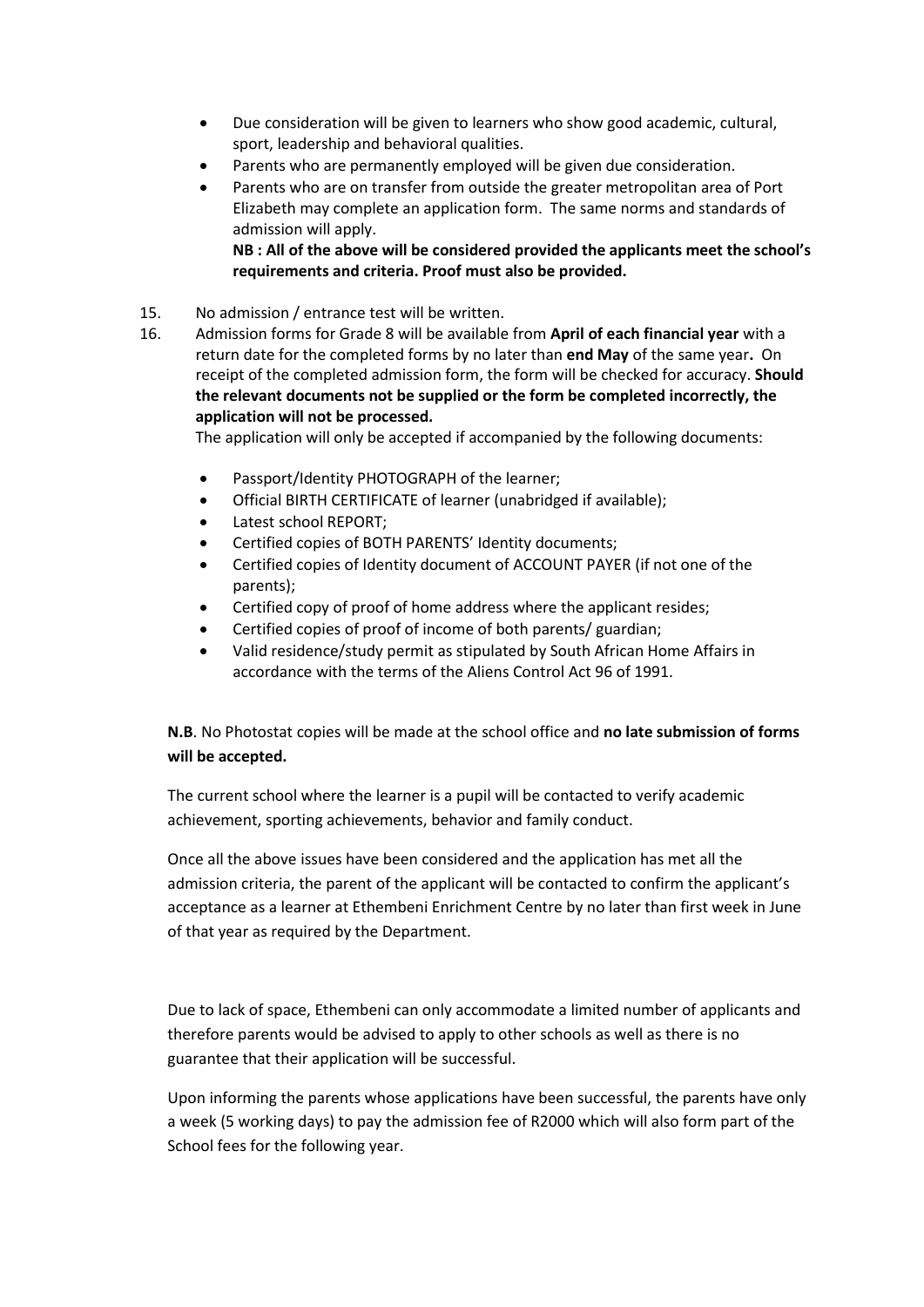- Due consideration will be given to learners who show good academic, cultural, sport, leadership and behavioral qualities.
- Parents who are permanently employed will be given due consideration.
- Parents who are on transfer from outside the greater metropolitan area of Port Elizabeth may complete an application form. The same norms and standards of admission will apply.

**NB : All of the above will be considered provided the applicants meet the school's requirements and criteria. Proof must also be provided.**

- 15. No admission / entrance test will be written.
- 16. Admission forms for Grade 8 will be available from **April of each financial year** with a return date for the completed forms by no later than **end May** of the same year**.** On receipt of the completed admission form, the form will be checked for accuracy. **Should the relevant documents not be supplied or the form be completed incorrectly, the application will not be processed.**

The application will only be accepted if accompanied by the following documents:

- Passport/Identity PHOTOGRAPH of the learner;
- Official BIRTH CERTIFICATE of learner (unabridged if available);
- Latest school REPORT;
- Certified copies of BOTH PARENTS' Identity documents;
- Certified copies of Identity document of ACCOUNT PAYER (if not one of the parents);
- Certified copy of proof of home address where the applicant resides;
- Certified copies of proof of income of both parents/ guardian;
- Valid residence/study permit as stipulated by South African Home Affairs in accordance with the terms of the Aliens Control Act 96 of 1991.

**N.B**. No Photostat copies will be made at the school office and **no late submission of forms will be accepted.** 

The current school where the learner is a pupil will be contacted to verify academic achievement, sporting achievements, behavior and family conduct.

Once all the above issues have been considered and the application has met all the admission criteria, the parent of the applicant will be contacted to confirm the applicant's acceptance as a learner at Ethembeni Enrichment Centre by no later than first week in June of that year as required by the Department.

Due to lack of space, Ethembeni can only accommodate a limited number of applicants and therefore parents would be advised to apply to other schools as well as there is no guarantee that their application will be successful.

Upon informing the parents whose applications have been successful, the parents have only a week (5 working days) to pay the admission fee of R2000 which will also form part of the School fees for the following year.